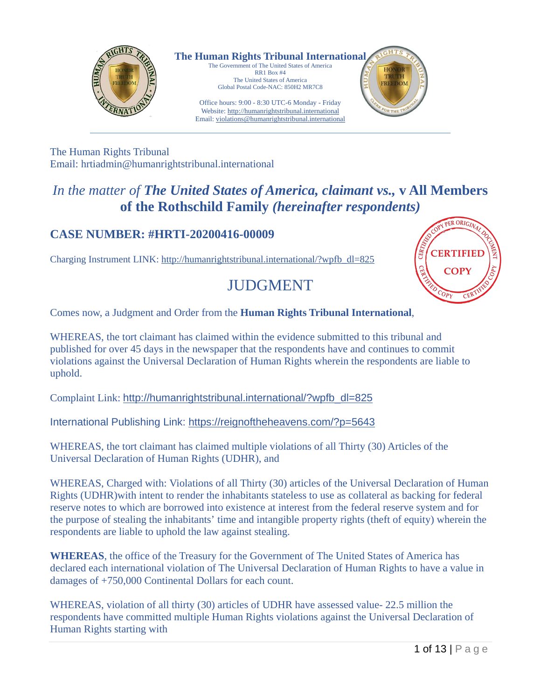

**The Human Rights Tribunal International** The Government of The United States of America

RR1 Box #4 The United States of America Global Postal Code-NAC: 850H2 MR7C8

Office hours: 9:00 - 8:30 UTC-6 Monday - Friday Website: http://humanrightstribunal.international Email: violations@humanrightstribunal.international



The Human Rights Tribunal Email: hrtiadmin@humanrightstribunal.international

## *In the matter of The United States of America, claimant vs.,* **v All Members of the Rothschild Family** *(hereinafter respondents)*

### **CASE NUMBER: #HRTI-20200416-00009**

Charging Instrument LINK: http://humanrightstribunal.international/?wpfb\_dl=825

# JUDGMENT



Comes now, a Judgment and Order from the **Human Rights Tribunal International**,

WHEREAS, the tort claimant has claimed within the evidence submitted to this tribunal and published for over 45 days in the newspaper that the respondents have and continues to commit violations against the Universal Declaration of Human Rights wherein the respondents are liable to uphold.

Complaint Link: http://humanrightstribunal.international/?wpfb\_dl=825

International Publishing Link: https://reignoftheheavens.com/?p=5643

WHEREAS, the tort claimant has claimed multiple violations of all Thirty (30) Articles of the Universal Declaration of Human Rights (UDHR), and

WHEREAS, Charged with: Violations of all Thirty (30) articles of the Universal Declaration of Human Rights (UDHR)with intent to render the inhabitants stateless to use as collateral as backing for federal reserve notes to which are borrowed into existence at interest from the federal reserve system and for the purpose of stealing the inhabitants' time and intangible property rights (theft of equity) wherein the respondents are liable to uphold the law against stealing.

**WHEREAS**, the office of the Treasury for the Government of The United States of America has declared each international violation of The Universal Declaration of Human Rights to have a value in damages of +750,000 Continental Dollars for each count.

WHEREAS, violation of all thirty (30) articles of UDHR have assessed value- 22.5 million the respondents have committed multiple Human Rights violations against the Universal Declaration of Human Rights starting with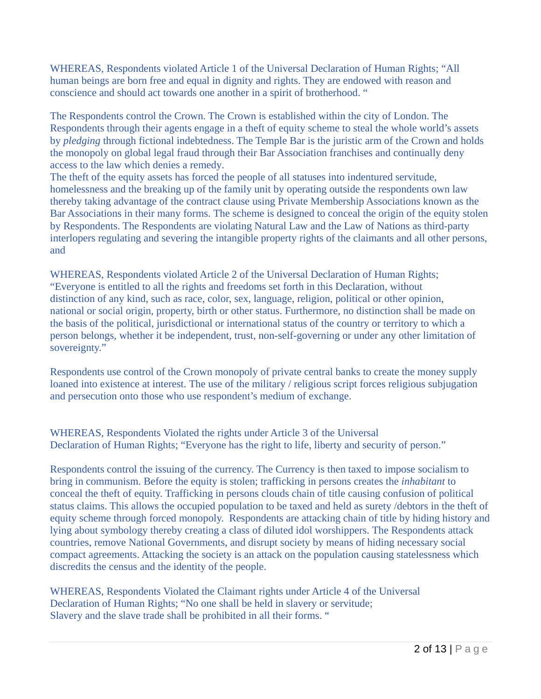WHEREAS, Respondents violated Article 1 of the Universal Declaration of Human Rights; "All human beings are born free and equal in dignity and rights. They are endowed with reason and conscience and should act towards one another in a spirit of brotherhood. "

The Respondents control the Crown. The Crown is established within the city of London. The Respondents through their agents engage in a theft of equity scheme to steal the whole world's assets by *pledging* through fictional indebtedness. The Temple Bar is the juristic arm of the Crown and holds the monopoly on global legal fraud through their Bar Association franchises and continually deny access to the law which denies a remedy.

The theft of the equity assets has forced the people of all statuses into indentured servitude, homelessness and the breaking up of the family unit by operating outside the respondents own law thereby taking advantage of the contract clause using Private Membership Associations known as the Bar Associations in their many forms. The scheme is designed to conceal the origin of the equity stolen by Respondents. The Respondents are violating Natural Law and the Law of Nations as third-party interlopers regulating and severing the intangible property rights of the claimants and all other persons, and

WHEREAS, Respondents violated Article 2 of the Universal Declaration of Human Rights; "Everyone is entitled to all the rights and freedoms set forth in this Declaration, without distinction of any kind, such as race, color, sex, language, religion, political or other opinion, national or social origin, property, birth or other status. Furthermore, no distinction shall be made on the basis of the political, jurisdictional or international status of the country or territory to which a person belongs, whether it be independent, trust, non-self-governing or under any other limitation of sovereignty."

Respondents use control of the Crown monopoly of private central banks to create the money supply loaned into existence at interest. The use of the military / religious script forces religious subjugation and persecution onto those who use respondent's medium of exchange.

WHEREAS, Respondents Violated the rights under Article 3 of the Universal Declaration of Human Rights; "Everyone has the right to life, liberty and security of person."

Respondents control the issuing of the currency. The Currency is then taxed to impose socialism to bring in communism. Before the equity is stolen; trafficking in persons creates the *inhabitant* to conceal the theft of equity. Trafficking in persons clouds chain of title causing confusion of political status claims. This allows the occupied population to be taxed and held as surety /debtors in the theft of equity scheme through forced monopoly. Respondents are attacking chain of title by hiding history and lying about symbology thereby creating a class of diluted idol worshippers. The Respondents attack countries, remove National Governments, and disrupt society by means of hiding necessary social compact agreements. Attacking the society is an attack on the population causing statelessness which discredits the census and the identity of the people.

WHEREAS, Respondents Violated the Claimant rights under Article 4 of the Universal Declaration of Human Rights; "No one shall be held in slavery or servitude; Slavery and the slave trade shall be prohibited in all their forms. "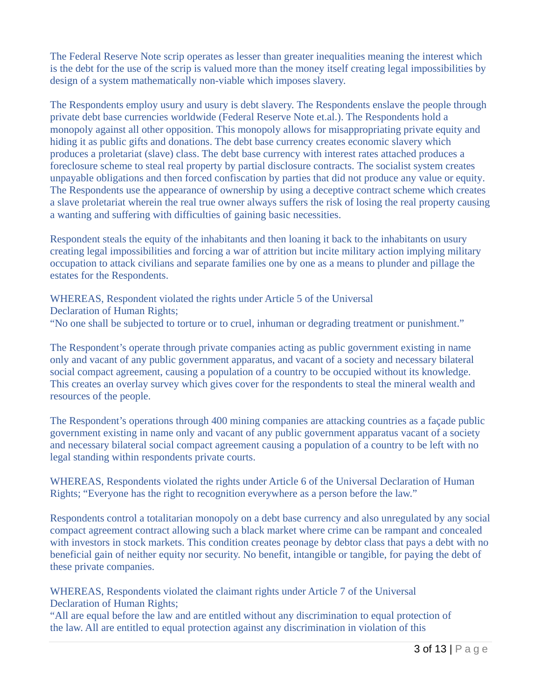The Federal Reserve Note scrip operates as lesser than greater inequalities meaning the interest which is the debt for the use of the scrip is valued more than the money itself creating legal impossibilities by design of a system mathematically non-viable which imposes slavery.

The Respondents employ usury and usury is debt slavery. The Respondents enslave the people through private debt base currencies worldwide (Federal Reserve Note et.al.). The Respondents hold a monopoly against all other opposition. This monopoly allows for misappropriating private equity and hiding it as public gifts and donations. The debt base currency creates economic slavery which produces a proletariat (slave) class. The debt base currency with interest rates attached produces a foreclosure scheme to steal real property by partial disclosure contracts. The socialist system creates unpayable obligations and then forced confiscation by parties that did not produce any value or equity. The Respondents use the appearance of ownership by using a deceptive contract scheme which creates a slave proletariat wherein the real true owner always suffers the risk of losing the real property causing a wanting and suffering with difficulties of gaining basic necessities.

Respondent steals the equity of the inhabitants and then loaning it back to the inhabitants on usury creating legal impossibilities and forcing a war of attrition but incite military action implying military occupation to attack civilians and separate families one by one as a means to plunder and pillage the estates for the Respondents.

WHEREAS, Respondent violated the rights under Article 5 of the Universal Declaration of Human Rights; "No one shall be subjected to torture or to cruel, inhuman or degrading treatment or punishment."

The Respondent's operate through private companies acting as public government existing in name only and vacant of any public government apparatus, and vacant of a society and necessary bilateral social compact agreement, causing a population of a country to be occupied without its knowledge. This creates an overlay survey which gives cover for the respondents to steal the mineral wealth and resources of the people.

The Respondent's operations through 400 mining companies are attacking countries as a façade public government existing in name only and vacant of any public government apparatus vacant of a society and necessary bilateral social compact agreement causing a population of a country to be left with no legal standing within respondents private courts.

WHEREAS, Respondents violated the rights under Article 6 of the Universal Declaration of Human Rights; "Everyone has the right to recognition everywhere as a person before the law."

Respondents control a totalitarian monopoly on a debt base currency and also unregulated by any social compact agreement contract allowing such a black market where crime can be rampant and concealed with investors in stock markets. This condition creates peonage by debtor class that pays a debt with no beneficial gain of neither equity nor security. No benefit, intangible or tangible, for paying the debt of these private companies.

WHEREAS, Respondents violated the claimant rights under Article 7 of the Universal Declaration of Human Rights;

"All are equal before the law and are entitled without any discrimination to equal protection of the law. All are entitled to equal protection against any discrimination in violation of this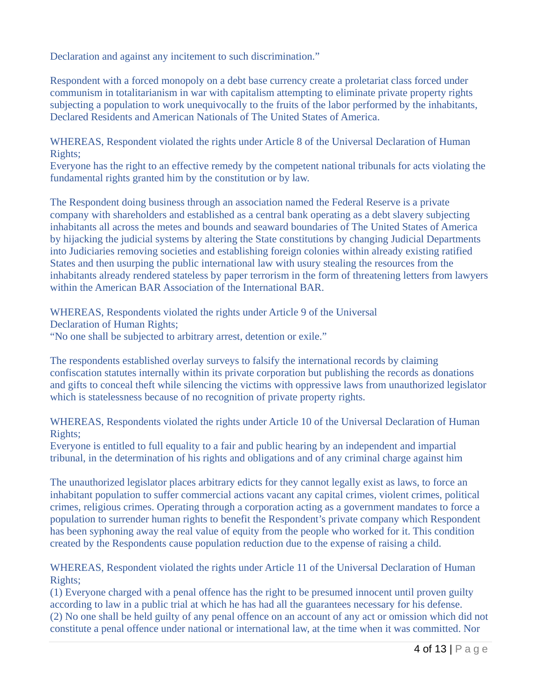Declaration and against any incitement to such discrimination."

Respondent with a forced monopoly on a debt base currency create a proletariat class forced under communism in totalitarianism in war with capitalism attempting to eliminate private property rights subjecting a population to work unequivocally to the fruits of the labor performed by the inhabitants, Declared Residents and American Nationals of The United States of America.

WHEREAS, Respondent violated the rights under Article 8 of the Universal Declaration of Human Rights;

Everyone has the right to an effective remedy by the competent national tribunals for acts violating the fundamental rights granted him by the constitution or by law.

The Respondent doing business through an association named the Federal Reserve is a private company with shareholders and established as a central bank operating as a debt slavery subjecting inhabitants all across the metes and bounds and seaward boundaries of The United States of America by hijacking the judicial systems by altering the State constitutions by changing Judicial Departments into Judiciaries removing societies and establishing foreign colonies within already existing ratified States and then usurping the public international law with usury stealing the resources from the inhabitants already rendered stateless by paper terrorism in the form of threatening letters from lawyers within the American BAR Association of the International BAR.

WHEREAS, Respondents violated the rights under Article 9 of the Universal Declaration of Human Rights;

"No one shall be subjected to arbitrary arrest, detention or exile."

The respondents established overlay surveys to falsify the international records by claiming confiscation statutes internally within its private corporation but publishing the records as donations and gifts to conceal theft while silencing the victims with oppressive laws from unauthorized legislator which is statelessness because of no recognition of private property rights.

WHEREAS, Respondents violated the rights under Article 10 of the Universal Declaration of Human Rights;

Everyone is entitled to full equality to a fair and public hearing by an independent and impartial tribunal, in the determination of his rights and obligations and of any criminal charge against him

The unauthorized legislator places arbitrary edicts for they cannot legally exist as laws, to force an inhabitant population to suffer commercial actions vacant any capital crimes, violent crimes, political crimes, religious crimes. Operating through a corporation acting as a government mandates to force a population to surrender human rights to benefit the Respondent's private company which Respondent has been syphoning away the real value of equity from the people who worked for it. This condition created by the Respondents cause population reduction due to the expense of raising a child.

WHEREAS, Respondent violated the rights under Article 11 of the Universal Declaration of Human Rights;

(1) Everyone charged with a penal offence has the right to be presumed innocent until proven guilty according to law in a public trial at which he has had all the guarantees necessary for his defense. (2) No one shall be held guilty of any penal offence on an account of any act or omission which did not constitute a penal offence under national or international law, at the time when it was committed. Nor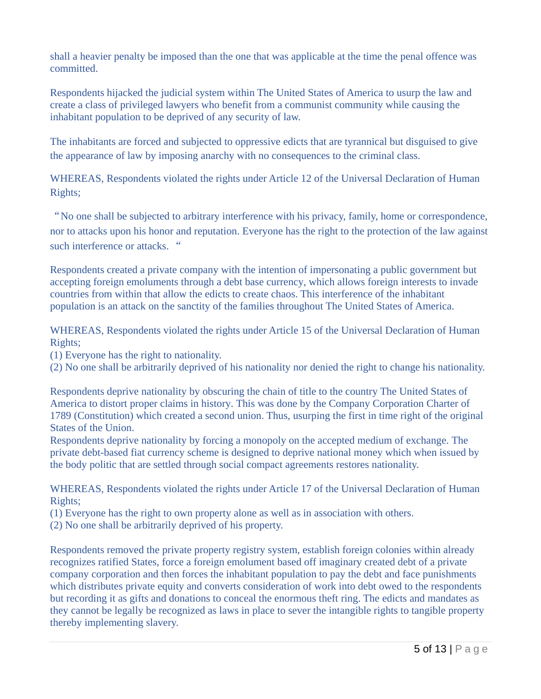shall a heavier penalty be imposed than the one that was applicable at the time the penal offence was committed.

Respondents hijacked the judicial system within The United States of America to usurp the law and create a class of privileged lawyers who benefit from a communist community while causing the inhabitant population to be deprived of any security of law.

The inhabitants are forced and subjected to oppressive edicts that are tyrannical but disguised to give the appearance of law by imposing anarchy with no consequences to the criminal class.

WHEREAS, Respondents violated the rights under Article 12 of the Universal Declaration of Human Rights;

"No one shall be subjected to arbitrary interference with his privacy, family, home or correspondence, nor to attacks upon his honor and reputation. Everyone has the right to the protection of the law against such interference or attacks. "

Respondents created a private company with the intention of impersonating a public government but accepting foreign emoluments through a debt base currency, which allows foreign interests to invade countries from within that allow the edicts to create chaos. This interference of the inhabitant population is an attack on the sanctity of the families throughout The United States of America.

WHEREAS, Respondents violated the rights under Article 15 of the Universal Declaration of Human Rights;

(1) Everyone has the right to nationality.

(2) No one shall be arbitrarily deprived of his nationality nor denied the right to change his nationality.

Respondents deprive nationality by obscuring the chain of title to the country The United States of America to distort proper claims in history. This was done by the Company Corporation Charter of 1789 (Constitution) which created a second union. Thus, usurping the first in time right of the original States of the Union.

Respondents deprive nationality by forcing a monopoly on the accepted medium of exchange. The private debt-based fiat currency scheme is designed to deprive national money which when issued by the body politic that are settled through social compact agreements restores nationality.

WHEREAS, Respondents violated the rights under Article 17 of the Universal Declaration of Human Rights;

(1) Everyone has the right to own property alone as well as in association with others.

(2) No one shall be arbitrarily deprived of his property.

Respondents removed the private property registry system, establish foreign colonies within already recognizes ratified States, force a foreign emolument based off imaginary created debt of a private company corporation and then forces the inhabitant population to pay the debt and face punishments which distributes private equity and converts consideration of work into debt owed to the respondents but recording it as gifts and donations to conceal the enormous theft ring. The edicts and mandates as they cannot be legally be recognized as laws in place to sever the intangible rights to tangible property thereby implementing slavery.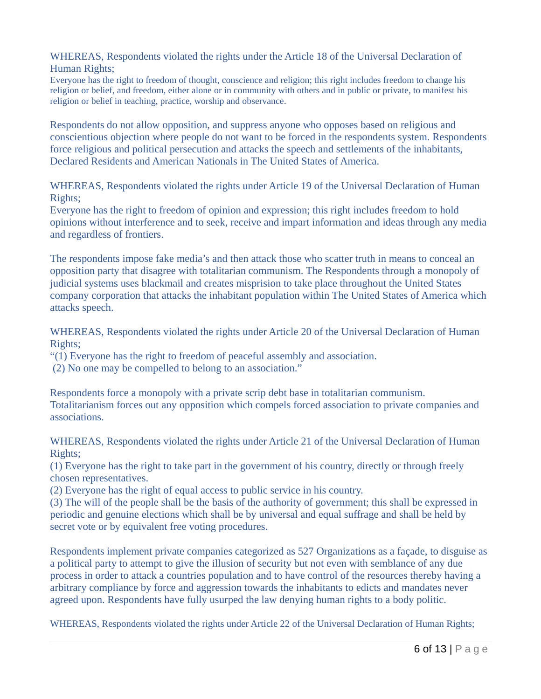WHEREAS, Respondents violated the rights under the Article 18 of the Universal Declaration of Human Rights;

Everyone has the right to freedom of thought, conscience and religion; this right includes freedom to change his religion or belief, and freedom, either alone or in community with others and in public or private, to manifest his religion or belief in teaching, practice, worship and observance.

Respondents do not allow opposition, and suppress anyone who opposes based on religious and conscientious objection where people do not want to be forced in the respondents system. Respondents force religious and political persecution and attacks the speech and settlements of the inhabitants, Declared Residents and American Nationals in The United States of America.

WHEREAS, Respondents violated the rights under Article 19 of the Universal Declaration of Human Rights;

Everyone has the right to freedom of opinion and expression; this right includes freedom to hold opinions without interference and to seek, receive and impart information and ideas through any media and regardless of frontiers.

The respondents impose fake media's and then attack those who scatter truth in means to conceal an opposition party that disagree with totalitarian communism. The Respondents through a monopoly of judicial systems uses blackmail and creates misprision to take place throughout the United States company corporation that attacks the inhabitant population within The United States of America which attacks speech.

WHEREAS, Respondents violated the rights under Article 20 of the Universal Declaration of Human Rights;

"(1) Everyone has the right to freedom of peaceful assembly and association.

(2) No one may be compelled to belong to an association."

Respondents force a monopoly with a private scrip debt base in totalitarian communism. Totalitarianism forces out any opposition which compels forced association to private companies and associations.

WHEREAS, Respondents violated the rights under Article 21 of the Universal Declaration of Human Rights;

(1) Everyone has the right to take part in the government of his country, directly or through freely chosen representatives.

(2) Everyone has the right of equal access to public service in his country.

(3) The will of the people shall be the basis of the authority of government; this shall be expressed in periodic and genuine elections which shall be by universal and equal suffrage and shall be held by secret vote or by equivalent free voting procedures.

Respondents implement private companies categorized as 527 Organizations as a façade, to disguise as a political party to attempt to give the illusion of security but not even with semblance of any due process in order to attack a countries population and to have control of the resources thereby having a arbitrary compliance by force and aggression towards the inhabitants to edicts and mandates never agreed upon. Respondents have fully usurped the law denying human rights to a body politic.

WHEREAS, Respondents violated the rights under Article 22 of the Universal Declaration of Human Rights;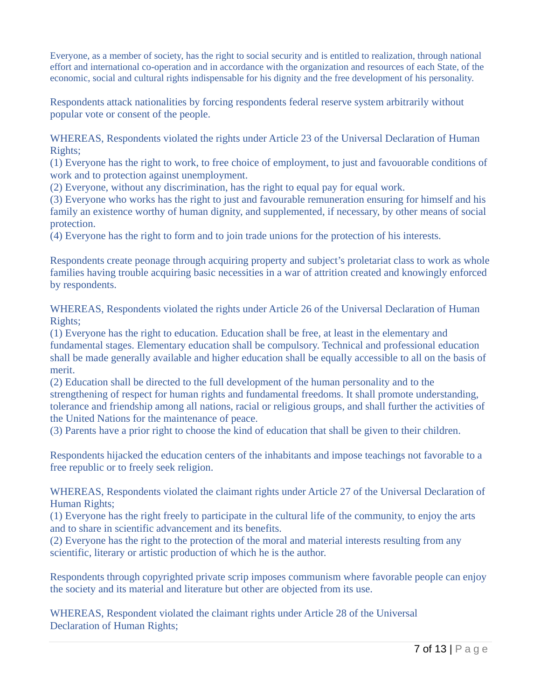Everyone, as a member of society, has the right to social security and is entitled to realization, through national effort and international co-operation and in accordance with the organization and resources of each State, of the economic, social and cultural rights indispensable for his dignity and the free development of his personality.

Respondents attack nationalities by forcing respondents federal reserve system arbitrarily without popular vote or consent of the people.

WHEREAS, Respondents violated the rights under Article 23 of the Universal Declaration of Human Rights;

(1) Everyone has the right to work, to free choice of employment, to just and favouorable conditions of work and to protection against unemployment.

(2) Everyone, without any discrimination, has the right to equal pay for equal work.

(3) Everyone who works has the right to just and favourable remuneration ensuring for himself and his family an existence worthy of human dignity, and supplemented, if necessary, by other means of social protection.

(4) Everyone has the right to form and to join trade unions for the protection of his interests.

Respondents create peonage through acquiring property and subject's proletariat class to work as whole families having trouble acquiring basic necessities in a war of attrition created and knowingly enforced by respondents.

WHEREAS, Respondents violated the rights under Article 26 of the Universal Declaration of Human Rights;

(1) Everyone has the right to education. Education shall be free, at least in the elementary and fundamental stages. Elementary education shall be compulsory. Technical and professional education shall be made generally available and higher education shall be equally accessible to all on the basis of merit.

(2) Education shall be directed to the full development of the human personality and to the strengthening of respect for human rights and fundamental freedoms. It shall promote understanding, tolerance and friendship among all nations, racial or religious groups, and shall further the activities of the United Nations for the maintenance of peace.

(3) Parents have a prior right to choose the kind of education that shall be given to their children.

Respondents hijacked the education centers of the inhabitants and impose teachings not favorable to a free republic or to freely seek religion.

WHEREAS, Respondents violated the claimant rights under Article 27 of the Universal Declaration of Human Rights;

(1) Everyone has the right freely to participate in the cultural life of the community, to enjoy the arts and to share in scientific advancement and its benefits.

(2) Everyone has the right to the protection of the moral and material interests resulting from any scientific, literary or artistic production of which he is the author.

Respondents through copyrighted private scrip imposes communism where favorable people can enjoy the society and its material and literature but other are objected from its use.

WHEREAS, Respondent violated the claimant rights under Article 28 of the Universal Declaration of Human Rights;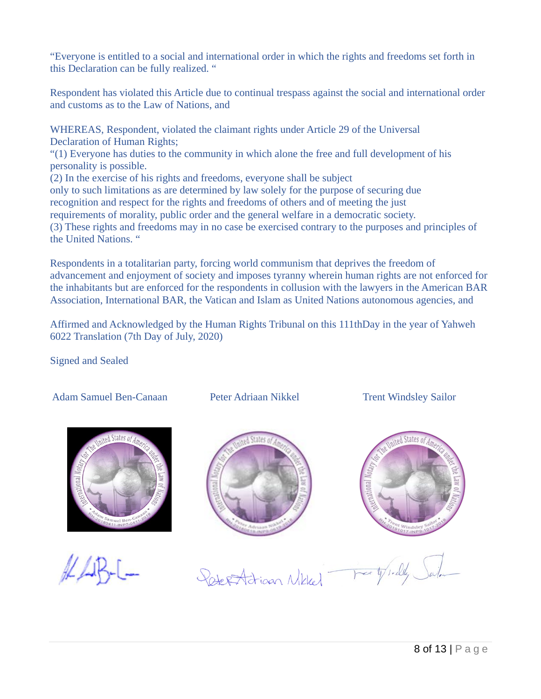"Everyone is entitled to a social and international order in which the rights and freedoms set forth in this Declaration can be fully realized. "

Respondent has violated this Article due to continual trespass against the social and international order and customs as to the Law of Nations, and

WHEREAS, Respondent, violated the claimant rights under Article 29 of the Universal Declaration of Human Rights;

"(1) Everyone has duties to the community in which alone the free and full development of his personality is possible.

(2) In the exercise of his rights and freedoms, everyone shall be subject

only to such limitations as are determined by law solely for the purpose of securing due recognition and respect for the rights and freedoms of others and of meeting the just

requirements of morality, public order and the general welfare in a democratic society. (3) These rights and freedoms may in no case be exercised contrary to the purposes and principles of the United Nations. "

Respondents in a totalitarian party, forcing world communism that deprives the freedom of advancement and enjoyment of society and imposes tyranny wherein human rights are not enforced for the inhabitants but are enforced for the respondents in collusion with the lawyers in the American BAR Association, International BAR, the Vatican and Islam as United Nations autonomous agencies, and

Affirmed and Acknowledged by the Human Rights Tribunal on this 111thDay in the year of Yahweh 6022 Translation (7th Day of July, 2020)

Signed and Sealed

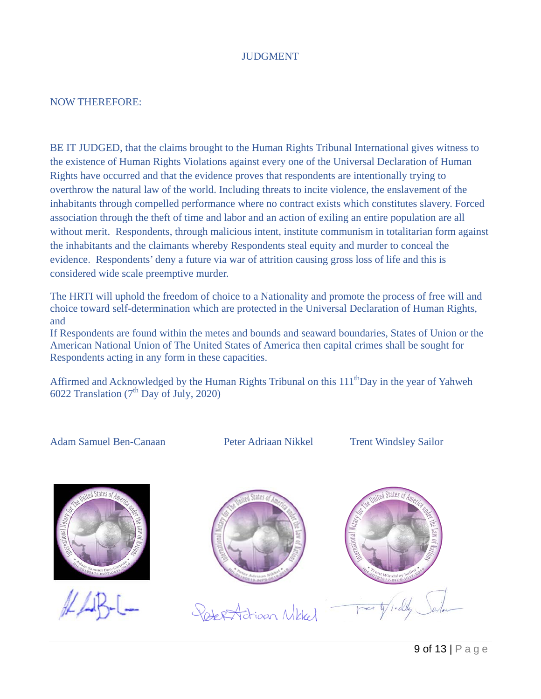#### **JUDGMENT**

#### NOW THEREFORE:

BE IT JUDGED, that the claims brought to the Human Rights Tribunal International gives witness to the existence of Human Rights Violations against every one of the Universal Declaration of Human Rights have occurred and that the evidence proves that respondents are intentionally trying to overthrow the natural law of the world. Including threats to incite violence, the enslavement of the inhabitants through compelled performance where no contract exists which constitutes slavery. Forced association through the theft of time and labor and an action of exiling an entire population are all without merit. Respondents, through malicious intent, institute communism in totalitarian form against the inhabitants and the claimants whereby Respondents steal equity and murder to conceal the evidence. Respondents' deny a future via war of attrition causing gross loss of life and this is considered wide scale preemptive murder.

The HRTI will uphold the freedom of choice to a Nationality and promote the process of free will and choice toward self-determination which are protected in the Universal Declaration of Human Rights, and

If Respondents are found within the metes and bounds and seaward boundaries, States of Union or the American National Union of The United States of America then capital crimes shall be sought for Respondents acting in any form in these capacities.

Affirmed and Acknowledged by the Human Rights Tribunal on this  $111<sup>th</sup>$ Day in the year of Yahweh 6022 Translation  $(7^{th}$  Day of July, 2020)

Adam Samuel Ben-Canaan Peter Adriaan Nikkel Trent Windsley Sailor



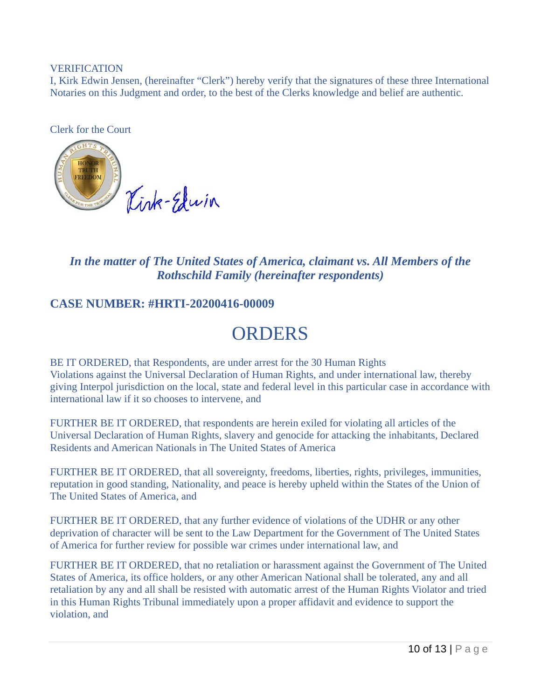#### VERIFICATION

I, Kirk Edwin Jensen, (hereinafter "Clerk") hereby verify that the signatures of these three International Notaries on this Judgment and order, to the best of the Clerks knowledge and belief are authentic.

Clerk for the Court



*In the matter of The United States of America, claimant vs. All Members of the Rothschild Family (hereinafter respondents)*

#### **CASE NUMBER: #HRTI-20200416-00009**

# ORDERS

BE IT ORDERED, that Respondents, are under arrest for the 30 Human Rights Violations against the Universal Declaration of Human Rights, and under international law, thereby giving Interpol jurisdiction on the local, state and federal level in this particular case in accordance with international law if it so chooses to intervene, and

FURTHER BE IT ORDERED, that respondents are herein exiled for violating all articles of the Universal Declaration of Human Rights, slavery and genocide for attacking the inhabitants, Declared Residents and American Nationals in The United States of America

FURTHER BE IT ORDERED, that all sovereignty, freedoms, liberties, rights, privileges, immunities, reputation in good standing, Nationality, and peace is hereby upheld within the States of the Union of The United States of America, and

FURTHER BE IT ORDERED, that any further evidence of violations of the UDHR or any other deprivation of character will be sent to the Law Department for the Government of The United States of America for further review for possible war crimes under international law, and

FURTHER BE IT ORDERED, that no retaliation or harassment against the Government of The United States of America, its office holders, or any other American National shall be tolerated, any and all retaliation by any and all shall be resisted with automatic arrest of the Human Rights Violator and tried in this Human Rights Tribunal immediately upon a proper affidavit and evidence to support the violation, and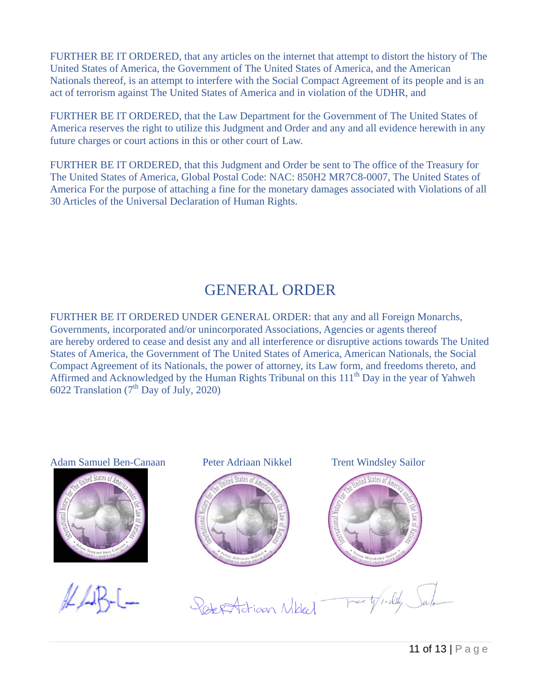FURTHER BE IT ORDERED, that any articles on the internet that attempt to distort the history of The United States of America, the Government of The United States of America, and the American Nationals thereof, is an attempt to interfere with the Social Compact Agreement of its people and is an act of terrorism against The United States of America and in violation of the UDHR, and

FURTHER BE IT ORDERED, that the Law Department for the Government of The United States of America reserves the right to utilize this Judgment and Order and any and all evidence herewith in any future charges or court actions in this or other court of Law.

FURTHER BE IT ORDERED, that this Judgment and Order be sent to The office of the Treasury for The United States of America, Global Postal Code: NAC: 850H2 MR7C8-0007, The United States of America For the purpose of attaching a fine for the monetary damages associated with Violations of all 30 Articles of the Universal Declaration of Human Rights.

## GENERAL ORDER

FURTHER BE IT ORDERED UNDER GENERAL ORDER: that any and all Foreign Monarchs, Governments, incorporated and/or unincorporated Associations, Agencies or agents thereof are hereby ordered to cease and desist any and all interference or disruptive actions towards The United States of America, the Government of The United States of America, American Nationals, the Social Compact Agreement of its Nationals, the power of attorney, its Law form, and freedoms thereto, and Affirmed and Acknowledged by the Human Rights Tribunal on this 111<sup>th</sup> Day in the year of Yahweh 6022 Translation  $(7<sup>th</sup>$  Day of July, 2020)

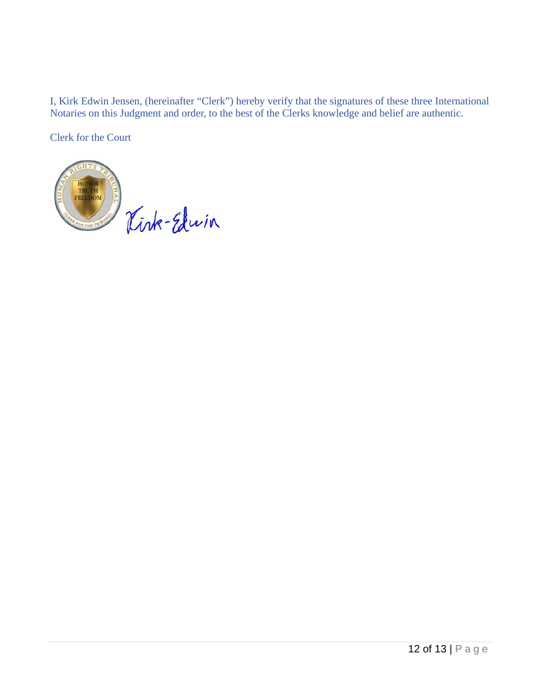I, Kirk Edwin Jensen, (hereinafter "Clerk") hereby verify that the signatures of these three International Notaries on this Judgment and order, to the best of the Clerks knowledge and belief are authentic.

Clerk for the Court